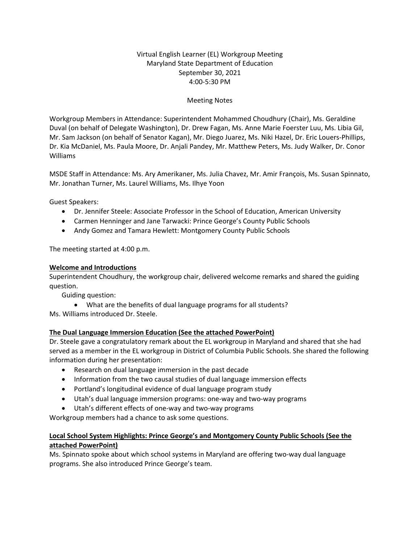## Virtual English Learner (EL) Workgroup Meeting Maryland State Department of Education September 30, 2021 4:00-5:30 PM

## Meeting Notes

Workgroup Members in Attendance: Superintendent Mohammed Choudhury (Chair), Ms. Geraldine Duval (on behalf of Delegate Washington), Dr. Drew Fagan, Ms. Anne Marie Foerster Luu, Ms. Libia Gil, Mr. Sam Jackson (on behalf of Senator Kagan), Mr. Diego Juarez, Ms. Niki Hazel, Dr. Eric Louers-Phillips, Dr. Kia McDaniel, Ms. Paula Moore, Dr. Anjali Pandey, Mr. Matthew Peters, Ms. Judy Walker, Dr. Conor Williams

MSDE Staff in Attendance: Ms. Ary Amerikaner, Ms. Julia Chavez, Mr. Amir François, Ms. Susan Spinnato, Mr. Jonathan Turner, Ms. Laurel Williams, Ms. Ilhye Yoon

Guest Speakers:

- Dr. Jennifer Steele: Associate Professor in the School of Education, American University
- Carmen Henninger and Jane Tarwacki: Prince George's County Public Schools
- Andy Gomez and Tamara Hewlett: Montgomery County Public Schools

The meeting started at 4:00 p.m.

### **Welcome and Introductions**

Superintendent Choudhury, the workgroup chair, delivered welcome remarks and shared the guiding question.

Guiding question:

• What are the benefits of dual language programs for all students?

Ms. Williams introduced Dr. Steele.

# **The Dual Language Immersion Education (See the attached PowerPoint)**

Dr. Steele gave a congratulatory remark about the EL workgroup in Maryland and shared that she had served as a member in the EL workgroup in District of Columbia Public Schools. She shared the following information during her presentation:

- Research on dual language immersion in the past decade
- Information from the two causal studies of dual language immersion effects
- Portland's longitudinal evidence of dual language program study
- Utah's dual language immersion programs: one-way and two-way programs
- Utah's different effects of one-way and two-way programs

Workgroup members had a chance to ask some questions.

## **Local School System Highlights: Prince George's and Montgomery County Public Schools (See the attached PowerPoint)**

Ms. Spinnato spoke about which school systems in Maryland are offering two-way dual language programs. She also introduced Prince George's team.